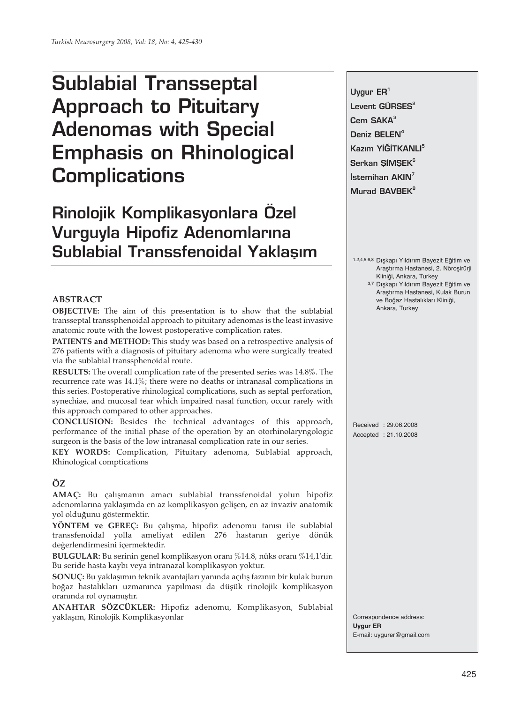# **Sublabial Transseptal Approach to Pituitary Adenomas with Special Emphasis on Rhinological Complications**

## **Rinolojik Komplikasyonlara Özel Vurguyla Hipofiz Adenomlarına Sublabial Transsfenoidal Yaklasım**

### **ABSTRACT**

**OBJECTIVE:** The aim of this presentation is to show that the sublabial transseptal transsphenoidal approach to pituitary adenomas is the least invasive anatomic route with the lowest postoperative complication rates.

**PATIENTS and METHOD:** This study was based on a retrospective analysis of 276 patients with a diagnosis of pituitary adenoma who were surgically treated via the sublabial transsphenoidal route.

**RESULTS:** The overall complication rate of the presented series was 14.8%. The recurrence rate was 14.1%; there were no deaths or intranasal complications in this series. Postoperative rhinological complications, such as septal perforation, synechiae, and mucosal tear which impaired nasal function, occur rarely with this approach compared to other approaches.

**CONCLUSION:** Besides the technical advantages of this approach, performance of the initial phase of the operation by an otorhinolaryngologic surgeon is the basis of the low intranasal complication rate in our series.

**KEY WORDS:** Complication, Pituitary adenoma, Sublabial approach, Rhinological comptications

## **ÖZ**

**AMAÇ:** Bu çalışmanın amacı sublabial transsfenoidal yolun hipofiz adenomlarına yaklaşımda en az komplikasyon gelişen, en az invaziv anatomik yol olduğunu göstermektir.

**YÖNTEM ve GEREÇ:** Bu çalışma, hipofiz adenomu tanısı ile sublabial transsfenoidal yolla ameliyat edilen 276 hastanın geriye dönük değerlendirmesini içermektedir.

**BULGULAR:** Bu serinin genel komplikasyon oranı %14.8, nüks oranı %14,1'dir. Bu seride hasta kaybı veya intranazal komplikasyon yoktur.

**SONUÇ:** Bu yaklaşımın teknik avantajları yanında açılış fazının bir kulak burun boğaz hastalıkları uzmanınca yapılması da düşük rinolojik komplikasyon oranında rol oynamıştır.

**ANAHTAR SÖZCÜKLER:** Hipofiz adenomu, Komplikasyon, Sublabial yaklaşım, Rinolojik Komplikasyonlar

**Uygur ER1** Levent GÜRSES<sup>2</sup> **Cem SAKA<sup>3</sup>** Deniz BELEN<sup>4</sup> Kazım YİĞİTKANLI<sup>5</sup> Serkan SIMSEK<sup>6</sup> **İstemihan AKIN<sup>7</sup> Murad BAVBEK<sup>8</sup>**

1.2,4,5,6,8 Dışkapı Yıldırım Bayezit Eğitim ve Araştırma Hastanesi, 2. Nöroşirürji Kliniği, Ankara, Turkey

3,7 Dışkapı Yıldırım Bayezit Eğitim ve Araştırma Hastanesi, Kulak Burun ve Boğaz Hastalıkları Kliniği, Ankara, Turkey

Received : 29.06.2008 Accepted : 21.10.2008

Correspondence address: **Uygur ER** E-mail: uygurer@gmail.com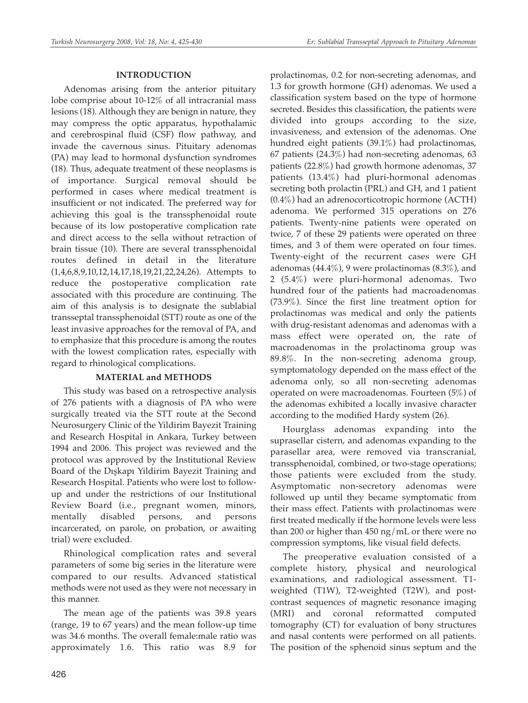### **INTRODUCTION**

Adenomas arising from the anterior pituitary lobe comprise about 10-12% of all intracranial mass lesions (18). Although they are benign in nature, they may compress the optic apparatus, hypothalamic and cerebrospinal fluid (CSF) flow pathway, and invade the cavernous sinus. Pituitary adenomas (PA) may lead to hormonal dysfunction syndromes (18). Thus, adequate treatment of these neoplasms is of importance. Surgical removal should be performed in cases where medical treatment is insufficient or not indicated. The preferred way for achieving this goal is the transsphenoidal route because of its low postoperative complication rate and direct access to the sella without retraction of brain tissue (10). There are several transsphenoidal routes defined in detail in the literature (1,4,6,8,9,10,12,14,17,18,19,21,22,24,26). Attempts to reduce the postoperative complication rate associated with this procedure are continuing. The aim of this analysis is to designate the sublabial transseptal transsphenoidal (STT) route as one of the least invasive approaches for the removal of PA, and to emphasize that this procedure is among the routes with the lowest complication rates, especially with regard to rhinological complications.

#### **MATERIAL and METHODS**

This study was based on a retrospective analysis of 276 patients with a diagnosis of PA who were surgically treated via the STT route at the Second Neurosurgery Clinic of the Yildirim Bayezit Training and Research Hospital in Ankara, Turkey between 1994 and 2006. This project was reviewed and the protocol was approved by the Institutional Review Board of the Dışkapı Yildirim Bayezit Training and Research Hospital. Patients who were lost to followup and under the restrictions of our Institutional Review Board (i.e., pregnant women, minors, mentally disabled persons, and persons incarcerated, on parole, on probation, or awaiting trial) were excluded.

Rhinological complication rates and several parameters of some big series in the literature were compared to our results. Advanced statistical methods were not used as they were not necessary in this manner.

The mean age of the patients was 39.8 years (range, 19 to 67 years) and the mean follow-up time was 34.6 months. The overall female:male ratio was approximately 1.6. This ratio was 8.9 for prolactinomas, 0.2 for non-secreting adenomas, and 1.3 for growth hormone (GH) adenomas. We used a classification system based on the type of hormone secreted. Besides this classification, the patients were divided into groups according to the size, invasiveness, and extension of the adenomas. One hundred eight patients (39.1%) had prolactinomas, 67 patients (24.3%) had non-secreting adenomas, 63 patients (22.8%) had growth hormone adenomas, 37 patients (13.4%) had pluri-hormonal adenomas secreting both prolactin (PRL) and GH, and 1 patient (0.4%) had an adrenocorticotropic hormone (ACTH) adenoma. We performed 315 operations on 276 patients. Twenty-nine patients were operated on twice, 7 of these 29 patients were operated on three times, and 3 of them were operated on four times. Twenty-eight of the recurrent cases were GH adenomas  $(44.4\%)$ , 9 were prolactinomas  $(8.3\%)$ , and 2 (5.4%) were pluri-hormonal adenomas. Two hundred four of the patients had macroadenomas (73.9%). Since the first line treatment option for prolactinomas was medical and only the patients with drug-resistant adenomas and adenomas with a mass effect were operated on, the rate of macroadenomas in the prolactinoma group was 89.8%. In the non-secreting adenoma group, symptomatology depended on the mass effect of the adenoma only, so all non-secreting adenomas operated on were macroadenomas. Fourteen (5%) of the adenomas exhibited a locally invasive character according to the modified Hardy system (26).

Hourglass adenomas expanding into the suprasellar cistern, and adenomas expanding to the parasellar area, were removed via transcranial, transsphenoidal, combined, or two-stage operations; those patients were excluded from the study. Asymptomatic non-secretory adenomas were followed up until they became symptomatic from their mass effect. Patients with prolactinomas were first treated medically if the hormone levels were less than 200 or higher than 450 ng/mL or there were no compression symptoms, like visual field defects.

The preoperative evaluation consisted of a complete history, physical and neurological examinations, and radiological assessment. T1 weighted (T1W), T2-weighted (T2W), and postcontrast sequences of magnetic resonance imaging (MRI) and coronal reformatted computed tomography (CT) for evaluation of bony structures and nasal contents were performed on all patients. The position of the sphenoid sinus septum and the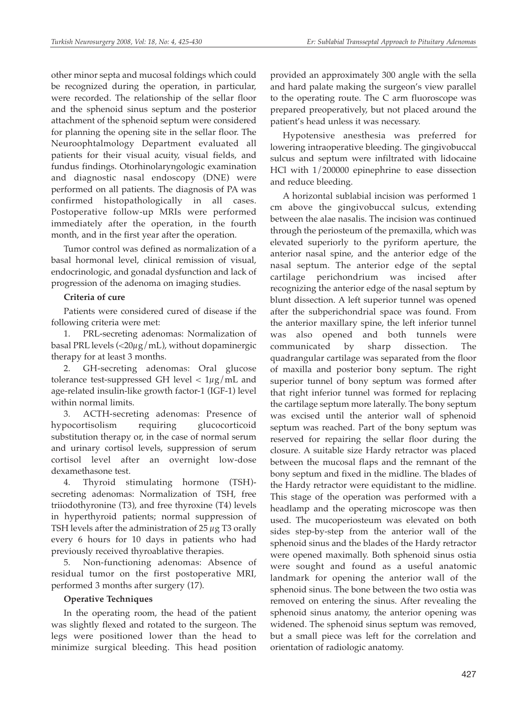other minor septa and mucosal foldings which could be recognized during the operation, in particular, were recorded. The relationship of the sellar floor and the sphenoid sinus septum and the posterior attachment of the sphenoid septum were considered for planning the opening site in the sellar floor. The Neuroophtalmology Department evaluated all patients for their visual acuity, visual fields, and fundus findings. Otorhinolaryngologic examination and diagnostic nasal endoscopy (DNE) were performed on all patients. The diagnosis of PA was confirmed histopathologically in all cases. Postoperative follow-up MRIs were performed immediately after the operation, in the fourth month, and in the first year after the operation.

Tumor control was defined as normalization of a basal hormonal level, clinical remission of visual, endocrinologic, and gonadal dysfunction and lack of progression of the adenoma on imaging studies.

## **Criteria of cure**

Patients were considered cured of disease if the following criteria were met:

1. PRL-secreting adenomas: Normalization of basal PRL levels ( $\langle 20\mu g/mL$ ), without dopaminergic therapy for at least 3 months.

2. GH-secreting adenomas: Oral glucose tolerance test-suppressed GH level  $< 1\mu g/mL$  and age-related insulin-like growth factor-1 (IGF-1) level within normal limits.

3. ACTH-secreting adenomas: Presence of hypocortisolism requiring glucocorticoid substitution therapy or, in the case of normal serum and urinary cortisol levels, suppression of serum cortisol level after an overnight low-dose dexamethasone test.

4. Thyroid stimulating hormone (TSH) secreting adenomas: Normalization of TSH, free triiodothyronine (T3), and free thyroxine (T4) levels in hyperthyroid patients; normal suppression of TSH levels after the administration of  $25 \mu$ g T3 orally every 6 hours for 10 days in patients who had previously received thyroablative therapies.

5. Non-functioning adenomas: Absence of residual tumor on the first postoperative MRI, performed 3 months after surgery (17).

## **Operative Techniques**

In the operating room, the head of the patient was slightly flexed and rotated to the surgeon. The legs were positioned lower than the head to minimize surgical bleeding. This head position

provided an approximately 300 angle with the sella and hard palate making the surgeon's view parallel to the operating route. The C arm fluoroscope was prepared preoperatively, but not placed around the patient's head unless it was necessary.

Hypotensive anesthesia was preferred for lowering intraoperative bleeding. The gingivobuccal sulcus and septum were infiltrated with lidocaine HCl with 1/200000 epinephrine to ease dissection and reduce bleeding.

A horizontal sublabial incision was performed 1 cm above the gingivobuccal sulcus, extending between the alae nasalis. The incision was continued through the periosteum of the premaxilla, which was elevated superiorly to the pyriform aperture, the anterior nasal spine, and the anterior edge of the nasal septum. The anterior edge of the septal cartilage perichondrium was incised after recognizing the anterior edge of the nasal septum by blunt dissection. A left superior tunnel was opened after the subperichondrial space was found. From the anterior maxillary spine, the left inferior tunnel was also opened and both tunnels were communicated by sharp dissection. The quadrangular cartilage was separated from the floor of maxilla and posterior bony septum. The right superior tunnel of bony septum was formed after that right inferior tunnel was formed for replacing the cartilage septum more laterally. The bony septum was excised until the anterior wall of sphenoid septum was reached. Part of the bony septum was reserved for repairing the sellar floor during the closure. A suitable size Hardy retractor was placed between the mucosal flaps and the remnant of the bony septum and fixed in the midline. The blades of the Hardy retractor were equidistant to the midline. This stage of the operation was performed with a headlamp and the operating microscope was then used. The mucoperiosteum was elevated on both sides step-by-step from the anterior wall of the sphenoid sinus and the blades of the Hardy retractor were opened maximally. Both sphenoid sinus ostia were sought and found as a useful anatomic landmark for opening the anterior wall of the sphenoid sinus. The bone between the two ostia was removed on entering the sinus. After revealing the sphenoid sinus anatomy, the anterior opening was widened. The sphenoid sinus septum was removed, but a small piece was left for the correlation and orientation of radiologic anatomy.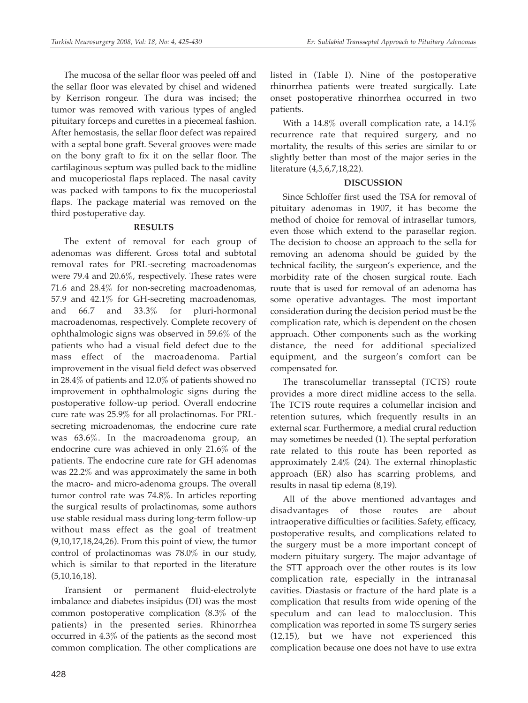The mucosa of the sellar floor was peeled off and the sellar floor was elevated by chisel and widened by Kerrison rongeur. The dura was incised; the tumor was removed with various types of angled pituitary forceps and curettes in a piecemeal fashion. After hemostasis, the sellar floor defect was repaired with a septal bone graft. Several grooves were made on the bony graft to fix it on the sellar floor. The cartilaginous septum was pulled back to the midline and mucoperiostal flaps replaced. The nasal cavity was packed with tampons to fix the mucoperiostal flaps. The package material was removed on the third postoperative day.

## **RESULTS**

The extent of removal for each group of adenomas was different. Gross total and subtotal removal rates for PRL-secreting macroadenomas were 79.4 and 20.6%, respectively. These rates were 71.6 and 28.4% for non-secreting macroadenomas, 57.9 and 42.1% for GH-secreting macroadenomas, and 66.7 and 33.3% for pluri-hormonal macroadenomas, respectively. Complete recovery of ophthalmologic signs was observed in 59.6% of the patients who had a visual field defect due to the mass effect of the macroadenoma. Partial improvement in the visual field defect was observed in 28.4% of patients and 12.0% of patients showed no improvement in ophthalmologic signs during the postoperative follow-up period. Overall endocrine cure rate was 25.9% for all prolactinomas. For PRLsecreting microadenomas, the endocrine cure rate was 63.6%. In the macroadenoma group, an endocrine cure was achieved in only 21.6% of the patients. The endocrine cure rate for GH adenomas was 22.2% and was approximately the same in both the macro- and micro-adenoma groups. The overall tumor control rate was 74.8%. In articles reporting the surgical results of prolactinomas, some authors use stable residual mass during long-term follow-up without mass effect as the goal of treatment (9,10,17,18,24,26). From this point of view, the tumor control of prolactinomas was 78.0% in our study, which is similar to that reported in the literature (5,10,16,18).

Transient or permanent fluid-electrolyte imbalance and diabetes insipidus (DI) was the most common postoperative complication (8.3% of the patients) in the presented series. Rhinorrhea occurred in 4.3% of the patients as the second most common complication. The other complications are listed in (Table I). Nine of the postoperative rhinorrhea patients were treated surgically. Late onset postoperative rhinorrhea occurred in two patients.

With a 14.8% overall complication rate, a 14.1% recurrence rate that required surgery, and no mortality, the results of this series are similar to or slightly better than most of the major series in the literature (4,5,6,7,18,22).

## **DISCUSSION**

Since Schloffer first used the TSA for removal of pituitary adenomas in 1907, it has become the method of choice for removal of intrasellar tumors, even those which extend to the parasellar region. The decision to choose an approach to the sella for removing an adenoma should be guided by the technical facility, the surgeon's experience, and the morbidity rate of the chosen surgical route. Each route that is used for removal of an adenoma has some operative advantages. The most important consideration during the decision period must be the complication rate, which is dependent on the chosen approach. Other components such as the working distance, the need for additional specialized equipment, and the surgeon's comfort can be compensated for.

The transcolumellar transseptal (TCTS) route provides a more direct midline access to the sella. The TCTS route requires a columellar incision and retention sutures, which frequently results in an external scar. Furthermore, a medial crural reduction may sometimes be needed (1). The septal perforation rate related to this route has been reported as approximately 2.4% (24). The external rhinoplastic approach (ER) also has scarring problems, and results in nasal tip edema (8,19).

All of the above mentioned advantages and disadvantages of those routes are about intraoperative difficulties or facilities. Safety, efficacy, postoperative results, and complications related to the surgery must be a more important concept of modern pituitary surgery. The major advantage of the STT approach over the other routes is its low complication rate, especially in the intranasal cavities. Diastasis or fracture of the hard plate is a complication that results from wide opening of the speculum and can lead to malocclusion. This complication was reported in some TS surgery series (12,15), but we have not experienced this complication because one does not have to use extra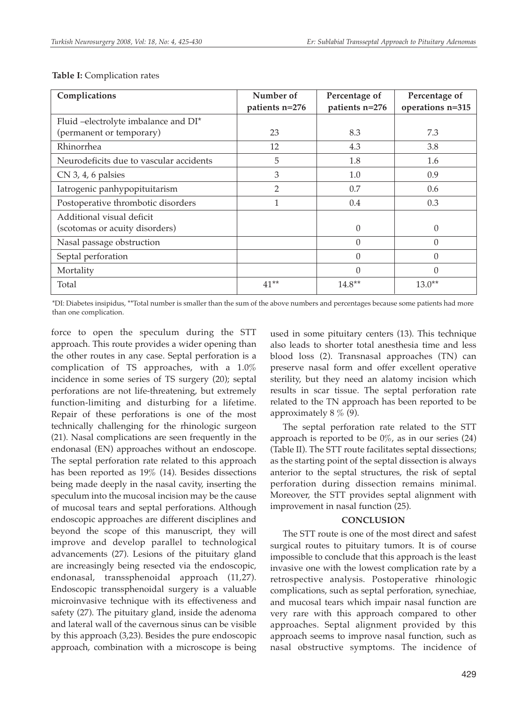| Complications                           | Number of      | Percentage of  | Percentage of    |
|-----------------------------------------|----------------|----------------|------------------|
|                                         | patients n=276 | patients n=276 | operations n=315 |
| Fluid -electrolyte imbalance and DI*    |                |                |                  |
| (permanent or temporary)                | 23             | 8.3            | 7.3              |
| Rhinorrhea                              | 12             | 4.3            | 3.8              |
| Neurodeficits due to vascular accidents | 5              | 1.8            | 1.6              |
| $CN$ 3, 4, 6 palsies                    | 3              | 1.0            | 0.9              |
| Iatrogenic panhypopituitarism           | $\overline{2}$ | 0.7            | 0.6              |
| Postoperative thrombotic disorders      |                | 0.4            | 0.3              |
| Additional visual deficit               |                |                |                  |
| (scotomas or acuity disorders)          |                | $\Omega$       | $\Omega$         |
| Nasal passage obstruction               |                | $\theta$       | $\Omega$         |
| Septal perforation                      |                | $\Omega$       | $\Omega$         |
| Mortality                               |                | $\Omega$       | $\Omega$         |
| Total                                   | $41**$         | $14.8**$       | $13.0**$         |

#### **Table I:** Complication rates

\*DI: Diabetes insipidus, \*\*Total number is smaller than the sum of the above numbers and percentages because some patients had more than one complication.

force to open the speculum during the STT approach. This route provides a wider opening than the other routes in any case. Septal perforation is a complication of TS approaches, with a 1.0% incidence in some series of TS surgery (20); septal perforations are not life-threatening, but extremely function-limiting and disturbing for a lifetime. Repair of these perforations is one of the most technically challenging for the rhinologic surgeon (21). Nasal complications are seen frequently in the endonasal (EN) approaches without an endoscope. The septal perforation rate related to this approach has been reported as 19% (14). Besides dissections being made deeply in the nasal cavity, inserting the speculum into the mucosal incision may be the cause of mucosal tears and septal perforations. Although endoscopic approaches are different disciplines and beyond the scope of this manuscript, they will improve and develop parallel to technological advancements (27). Lesions of the pituitary gland are increasingly being resected via the endoscopic, endonasal, transsphenoidal approach (11,27). Endoscopic transsphenoidal surgery is a valuable microinvasive technique with its effectiveness and safety (27). The pituitary gland, inside the adenoma and lateral wall of the cavernous sinus can be visible by this approach (3,23). Besides the pure endoscopic approach, combination with a microscope is being

used in some pituitary centers (13). This technique also leads to shorter total anesthesia time and less blood loss (2). Transnasal approaches (TN) can preserve nasal form and offer excellent operative sterility, but they need an alatomy incision which results in scar tissue. The septal perforation rate related to the TN approach has been reported to be approximately  $8\%$  (9).

The septal perforation rate related to the STT approach is reported to be  $0\%$ , as in our series (24) (Table II). The STT route facilitates septal dissections; as the starting point of the septal dissection is always anterior to the septal structures, the risk of septal perforation during dissection remains minimal. Moreover, the STT provides septal alignment with improvement in nasal function (25).

#### **CONCLUSION**

The STT route is one of the most direct and safest surgical routes to pituitary tumors. It is of course impossible to conclude that this approach is the least invasive one with the lowest complication rate by a retrospective analysis. Postoperative rhinologic complications, such as septal perforation, synechiae, and mucosal tears which impair nasal function are very rare with this approach compared to other approaches. Septal alignment provided by this approach seems to improve nasal function, such as nasal obstructive symptoms. The incidence of